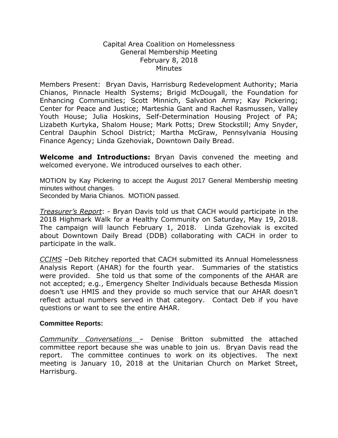## Capital Area Coalition on Homelessness General Membership Meeting February 8, 2018 **Minutes**

Members Present: Bryan Davis, Harrisburg Redevelopment Authority; Maria Chianos, Pinnacle Health Systems; Brigid McDougall, the Foundation for Enhancing Communities; Scott Minnich, Salvation Army; Kay Pickering; Center for Peace and Justice; Marteshia Gant and Rachel Rasmussen, Valley Youth House; Julia Hoskins, Self-Determination Housing Project of PA; Lizabeth Kurtyka, Shalom House; Mark Potts; Drew Stockstill; Amy Snyder, Central Dauphin School District; Martha McGraw, Pennsylvania Housing Finance Agency; Linda Gzehoviak, Downtown Daily Bread.

**Welcome and Introductions:** Bryan Davis convened the meeting and welcomed everyone. We introduced ourselves to each other.

MOTION by Kay Pickering to accept the August 2017 General Membership meeting minutes without changes.

Seconded by Maria Chianos. MOTION passed.

*Treasurer's Report*: - Bryan Davis told us that CACH would participate in the 2018 Highmark Walk for a Healthy Community on Saturday, May 19, 2018. The campaign will launch February 1, 2018. Linda Gzehoviak is excited about Downtown Daily Bread (DDB) collaborating with CACH in order to participate in the walk.

*CCIMS* –Deb Ritchey reported that CACH submitted its Annual Homelessness Analysis Report (AHAR) for the fourth year. Summaries of the statistics were provided. She told us that some of the components of the AHAR are not accepted; e.g., Emergency Shelter Individuals because Bethesda Mission doesn't use HMIS and they provide so much service that our AHAR doesn't reflect actual numbers served in that category. Contact Deb if you have questions or want to see the entire AHAR.

## **Committee Reports:**

*Community Conversations* – Denise Britton submitted the attached committee report because she was unable to join us. Bryan Davis read the report. The committee continues to work on its objectives. The next meeting is January 10, 2018 at the Unitarian Church on Market Street, Harrisburg.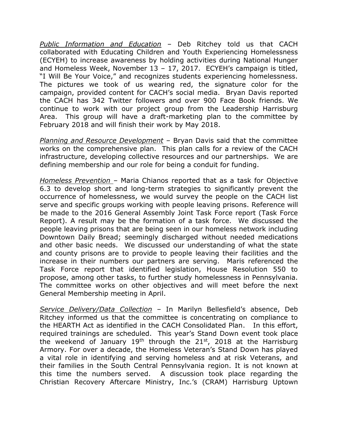*Public Information and Education* – Deb Ritchey told us that CACH collaborated with Educating Children and Youth Experiencing Homelessness (ECYEH) to increase awareness by holding activities during National Hunger and Homeless Week, November 13 – 17, 2017. ECYEH's campaign is titled, "I Will Be Your Voice," and recognizes students experiencing homelessness. The pictures we took of us wearing red, the signature color for the campaign, provided content for CACH's social media. Bryan Davis reported the CACH has 342 Twitter followers and over 900 Face Book friends. We continue to work with our project group from the Leadership Harrisburg Area. This group will have a draft-marketing plan to the committee by February 2018 and will finish their work by May 2018.

*Planning and Resource Development* – Bryan Davis said that the committee works on the comprehensive plan. This plan calls for a review of the CACH infrastructure, developing collective resources and our partnerships. We are defining membership and our role for being a conduit for funding.

*Homeless Prevention –* Maria Chianos reported that as a task for Objective 6.3 to develop short and long-term strategies to significantly prevent the occurrence of homelessness, we would survey the people on the CACH list serve and specific groups working with people leaving prisons. Reference will be made to the 2016 General Assembly Joint Task Force report (Task Force Report). A result may be the formation of a task force. We discussed the people leaving prisons that are being seen in our homeless network including Downtown Daily Bread; seemingly discharged without needed medications and other basic needs. We discussed our understanding of what the state and county prisons are to provide to people leaving their facilities and the increase in their numbers our partners are serving. Maris referenced the Task Force report that identified legislation, House Resolution 550 to propose, among other tasks, to further study homelessness in Pennsylvania. The committee works on other objectives and will meet before the next General Membership meeting in April.

*Service Delivery/Data Collection* – In Marilyn Bellesfield's absence, Deb Ritchey informed us that the committee is concentrating on compliance to the HEARTH Act as identified in the CACH Consolidated Plan. In this effort, required trainings are scheduled. This year's Stand Down event took place the weekend of January  $19<sup>th</sup>$  through the  $21<sup>st</sup>$ , 2018 at the Harrisburg Armory. For over a decade, the Homeless Veteran's Stand Down has played a vital role in identifying and serving homeless and at risk Veterans, and their families in the South Central Pennsylvania region. It is not known at this time the numbers served. A discussion took place regarding the Christian Recovery Aftercare Ministry, Inc.'s (CRAM) Harrisburg Uptown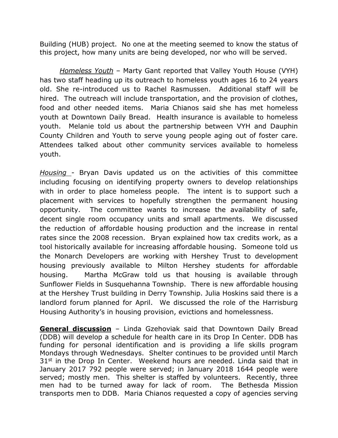Building (HUB) project. No one at the meeting seemed to know the status of this project, how many units are being developed, nor who will be served.

*Homeless Youth* – Marty Gant reported that Valley Youth House (VYH) has two staff heading up its outreach to homeless youth ages 16 to 24 years old. She re-introduced us to Rachel Rasmussen. Additional staff will be hired. The outreach will include transportation, and the provision of clothes, food and other needed items. Maria Chianos said she has met homeless youth at Downtown Daily Bread. Health insurance is available to homeless youth. Melanie told us about the partnership between VYH and Dauphin County Children and Youth to serve young people aging out of foster care. Attendees talked about other community services available to homeless youth.

*Housing* - Bryan Davis updated us on the activities of this committee including focusing on identifying property owners to develop relationships with in order to place homeless people. The intent is to support such a placement with services to hopefully strengthen the permanent housing opportunity. The committee wants to increase the availability of safe, decent single room occupancy units and small apartments. We discussed the reduction of affordable housing production and the increase in rental rates since the 2008 recession. Bryan explained how tax credits work, as a tool historically available for increasing affordable housing. Someone told us the Monarch Developers are working with Hershey Trust to development housing previously available to Milton Hershey students for affordable housing. Martha McGraw told us that housing is available through Sunflower Fields in Susquehanna Township. There is new affordable housing at the Hershey Trust building in Derry Township. Julia Hoskins said there is a landlord forum planned for April. We discussed the role of the Harrisburg Housing Authority's in housing provision, evictions and homelessness.

**General discussion** – Linda Gzehoviak said that Downtown Daily Bread (DDB) will develop a schedule for health care in its Drop In Center. DDB has funding for personal identification and is providing a life skills program Mondays through Wednesdays. Shelter continues to be provided until March  $31<sup>st</sup>$  in the Drop In Center. Weekend hours are needed. Linda said that in January 2017 792 people were served; in January 2018 1644 people were served; mostly men. This shelter is staffed by volunteers. Recently, three men had to be turned away for lack of room. The Bethesda Mission transports men to DDB. Maria Chianos requested a copy of agencies serving